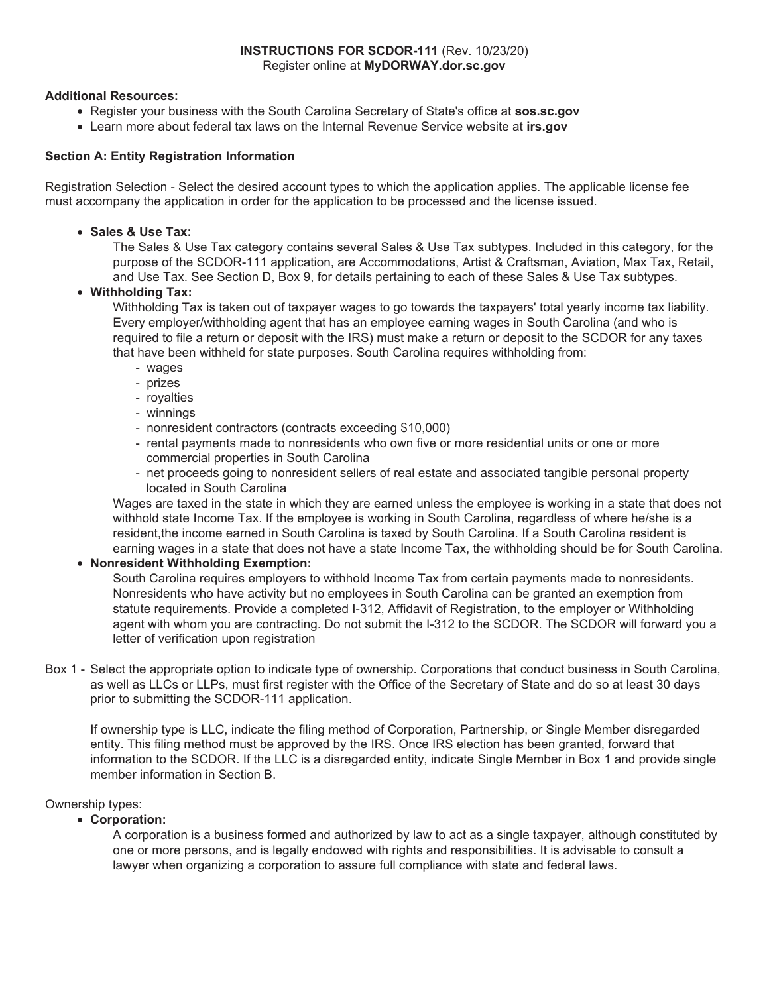### **INSTRUCTIONS FOR SCDOR-111** (Rev. 10/23/20) Register online at **MyDORWAY.dor.sc.gov**

### **Additional Resources:**

- Register your business with the South Carolina Secretary of State's office at **sos.sc.gov**
- Learn more about federal tax laws on the Internal Revenue Service website at **irs.gov**

### **Section A: Entity Registration Information**

Registration Selection - Select the desired account types to which the application applies. The applicable license fee must accompany the application in order for the application to be processed and the license issued.

• **Sales & Use Tax:** 

The Sales & Use Tax category contains several Sales & Use Tax subtypes. Included in this category, for the purpose of the SCDOR-111 application, are Accommodations, Artist & Craftsman, Aviation, Max Tax, Retail, and Use Tax. See Section D, Box 9, for details pertaining to each of these Sales & Use Tax subtypes.

• **Withholding Tax:** 

Withholding Tax is taken out of taxpayer wages to go towards the taxpayers' total yearly income tax liability. Every employer/withholding agent that has an employee earning wages in South Carolina (and who is required to file a return or deposit with the IRS) must make a return or deposit to the SCDOR for any taxes that have been withheld for state purposes. South Carolina requires withholding from:

- wages
- prizes
- royalties
- winnings
- nonresident contractors (contracts exceeding \$10,000)
- rental payments made to nonresidents who own five or more residential units or one or more commercial properties in South Carolina
- net proceeds going to nonresident sellers of real estate and associated tangible personal property located in South Carolina

Wages are taxed in the state in which they are earned unless the employee is working in a state that does not withhold state Income Tax. If the employee is working in South Carolina, regardless of where he/she is a resident,the income earned in South Carolina is taxed by South Carolina. If a South Carolina resident is earning wages in a state that does not have a state Income Tax, the withholding should be for South Carolina.

## • **Nonresident Withholding Exemption:**

South Carolina requires employers to withhold Income Tax from certain payments made to nonresidents. Nonresidents who have activity but no employees in South Carolina can be granted an exemption from statute requirements. Provide a completed I-312, Affidavit of Registration, to the employer or Withholding agent with whom you are contracting. Do not submit the I-312 to the SCDOR. The SCDOR will forward you a letter of verification upon registration

Box 1 - Select the appropriate option to indicate type of ownership. Corporations that conduct business in South Carolina, as well as LLCs or LLPs, must first register with the Office of the Secretary of State and do so at least 30 days prior to submitting the SCDOR-111 application.

If ownership type is LLC, indicate the filing method of Corporation, Partnership, or Single Member disregarded entity. This filing method must be approved by the IRS. Once IRS election has been granted, forward that information to the SCDOR. If the LLC is a disregarded entity, indicate Single Member in Box 1 and provide single member information in Section B.

#### Ownership types:

• **Corporation:** 

A corporation is a business formed and authorized by law to act as a single taxpayer, although constituted by one or more persons, and is legally endowed with rights and responsibilities. It is advisable to consult a lawyer when organizing a corporation to assure full compliance with state and federal laws.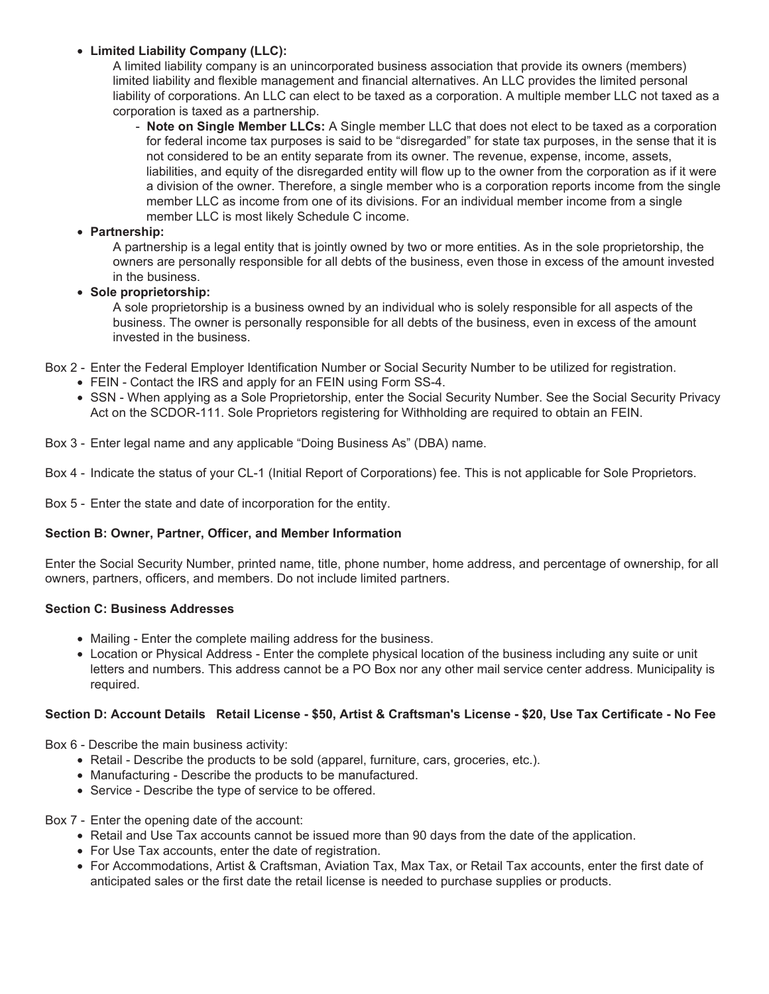# • **Limited Liability Company (LLC):**

A limited liability company is an unincorporated business association that provide its owners (members) limited liability and flexible management and financial alternatives. An LLC provides the limited personal liability of corporations. An LLC can elect to be taxed as a corporation. A multiple member LLC not taxed as a corporation is taxed as a partnership.

- **Note on Single Member LLCs:** A Single member LLC that does not elect to be taxed as a corporation for federal income tax purposes is said to be "disregarded" for state tax purposes, in the sense that it is not considered to be an entity separate from its owner. The revenue, expense, income, assets, liabilities, and equity of the disregarded entity will flow up to the owner from the corporation as if it were a division of the owner. Therefore, a single member who is a corporation reports income from the single member LLC as income from one of its divisions. For an individual member income from a single member LLC is most likely Schedule C income.

# • **Partnership:**

A partnership is a legal entity that is jointly owned by two or more entities. As in the sole proprietorship, the owners are personally responsible for all debts of the business, even those in excess of the amount invested in the business.

# • **Sole proprietorship:**

A sole proprietorship is a business owned by an individual who is solely responsible for all aspects of the business. The owner is personally responsible for all debts of the business, even in excess of the amount invested in the business.

Box 2 - Enter the Federal Employer Identification Number or Social Security Number to be utilized for registration.

- FEIN Contact the IRS and apply for an FEIN using Form SS-4.
- SSN When applying as a Sole Proprietorship, enter the Social Security Number. See the Social Security Privacy Act on the SCDOR-111. Sole Proprietors registering for Withholding are required to obtain an FEIN.

Box 3 - Enter legal name and any applicable "Doing Business As" (DBA) name.

Box 4 - Indicate the status of your CL-1 (Initial Report of Corporations) fee. This is not applicable for Sole Proprietors.

Box 5 - Enter the state and date of incorporation for the entity.

## **Section B: Owner, Partner, Officer, and Member Information**

Enter the Social Security Number, printed name, title, phone number, home address, and percentage of ownership, for all owners, partners, officers, and members. Do not include limited partners.

## **Section C: Business Addresses**

- Mailing Enter the complete mailing address for the business.
- Location or Physical Address Enter the complete physical location of the business including any suite or unit letters and numbers. This address cannot be a PO Box nor any other mail service center address. Municipality is required.

## **Section D: Account Details Retail License - \$50, Artist & Craftsman's License - \$20, Use Tax Certificate - No Fee**

Box 6 - Describe the main business activity:

- Retail Describe the products to be sold (apparel, furniture, cars, groceries, etc.).
- Manufacturing Describe the products to be manufactured.
- Service Describe the type of service to be offered.

#### Box 7 - Enter the opening date of the account:

- Retail and Use Tax accounts cannot be issued more than 90 days from the date of the application.
- For Use Tax accounts, enter the date of registration.
- For Accommodations, Artist & Craftsman, Aviation Tax, Max Tax, or Retail Tax accounts, enter the first date of anticipated sales or the first date the retail license is needed to purchase supplies or products.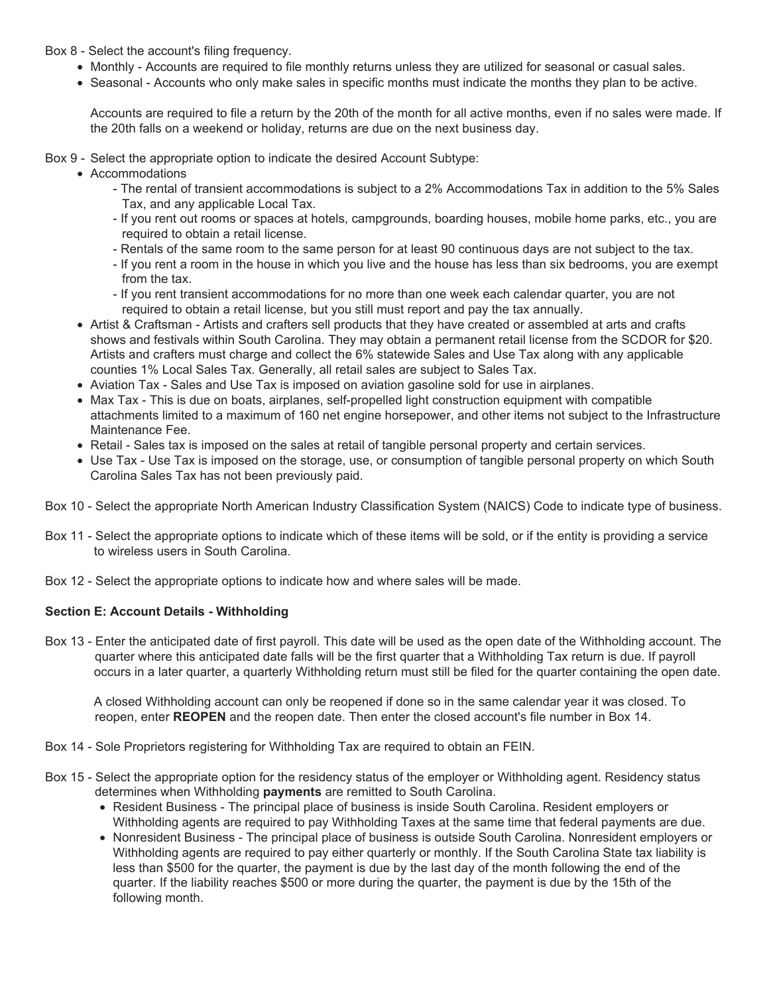Box 8 - Select the account's filing frequency.

- Monthly Accounts are required to file monthly returns unless they are utilized for seasonal or casual sales.
- Seasonal Accounts who only make sales in specific months must indicate the months they plan to be active.

Accounts are required to file a return by the 20th of the month for all active months, even if no sales were made. If the 20th falls on a weekend or holiday, returns are due on the next business day.

Box 9 - Select the appropriate option to indicate the desired Account Subtype:

- Accommodations
	- The rental of transient accommodations is subject to a 2% Accommodations Tax in addition to the 5% Sales Tax, and any applicable Local Tax.
	- If you rent out rooms or spaces at hotels, campgrounds, boarding houses, mobile home parks, etc., you are required to obtain a retail license.
	- Rentals of the same room to the same person for at least 90 continuous days are not subject to the tax.
	- If you rent a room in the house in which you live and the house has less than six bedrooms, you are exempt from the tax.
	- If you rent transient accommodations for no more than one week each calendar quarter, you are not required to obtain a retail license, but you still must report and pay the tax annually.
- Artist & Craftsman Artists and crafters sell products that they have created or assembled at arts and crafts shows and festivals within South Carolina. They may obtain a permanent retail license from the SCDOR for \$20. Artists and crafters must charge and collect the 6% statewide Sales and Use Tax along with any applicable counties 1% Local Sales Tax. Generally, all retail sales are subject to Sales Tax.
- Aviation Tax Sales and Use Tax is imposed on aviation gasoline sold for use in airplanes.
- Max Tax This is due on boats, airplanes, self-propelled light construction equipment with compatible attachments limited to a maximum of 160 net engine horsepower, and other items not subject to the Infrastructure Maintenance Fee.
- Retail Sales tax is imposed on the sales at retail of tangible personal property and certain services.
- Use Tax Use Tax is imposed on the storage, use, or consumption of tangible personal property on which South Carolina Sales Tax has not been previously paid.
- Box 10 Select the appropriate North American Industry Classification System (NAICS) Code to indicate type of business.
- Box 11 Select the appropriate options to indicate which of these items will be sold, or if the entity is providing a service to wireless users in South Carolina.
- Box 12 Select the appropriate options to indicate how and where sales will be made.

## **Section E: Account Details - Withholding**

Box 13 - Enter the anticipated date of first payroll. This date will be used as the open date of the Withholding account. The quarter where this anticipated date falls will be the first quarter that a Withholding Tax return is due. If payroll occurs in a later quarter, a quarterly Withholding return must still be filed for the quarter containing the open date.

 A closed Withholding account can only be reopened if done so in the same calendar year it was closed. To reopen, enter **REOPEN** and the reopen date. Then enter the closed account's file number in Box 14.

- Box 14 Sole Proprietors registering for Withholding Tax are required to obtain an FEIN.
- Box 15 Select the appropriate option for the residency status of the employer or Withholding agent. Residency status determines when Withholding **payments** are remitted to South Carolina.
	- Resident Business The principal place of business is inside South Carolina. Resident employers or Withholding agents are required to pay Withholding Taxes at the same time that federal payments are due.
	- Nonresident Business The principal place of business is outside South Carolina. Nonresident employers or Withholding agents are required to pay either quarterly or monthly. If the South Carolina State tax liability is less than \$500 for the quarter, the payment is due by the last day of the month following the end of the quarter. If the liability reaches \$500 or more during the quarter, the payment is due by the 15th of the following month.